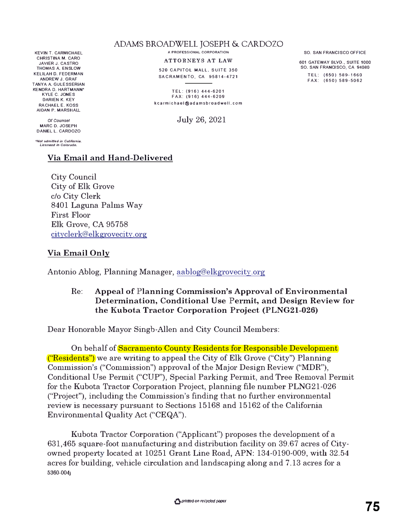#### ADAMS BROADWELL JOSEPH & CARDOZO **A PROFESSIONAL CORPORATION**

**ATTORNEYS AT LAW**  520 CAPITOL **MALL.** SUITE 350 SAC RAMEN TO, CA 95814-4721

TEL: (916) 444-6201 FAX: (916) 444-6209 kca rmichael@adamsbroadwell.com

July 26, 2021

KEVIN T. CARMICHAEL CHRISTINA M. CARO JAVIER J. CASTRO THOMAS A. ENSLOW KELILAH 0. FEOERMAN ANDREW J. GRAF TANYA A. GULESSERIAN KENDRA 0. HARTMANN' KYLE C. JONES DARIEN K. KEY RACHAEL E.KOSS **AIDAN** P. MARSHALL

*Of Counsel*  MARC 0. JOSEPH DANIEL L. CARDOZO

*•Not admitted* **in** *CaUfornia. Licensed in Colorado.* 

#### **Via Email and Hand-Delivered**

City Council City of Elk Grove c/o City Clerk 8401 Laguna Palms Way First Floor Elk Grove, CA 95758 cityclerk@elkgrovecitv.org

## **Via Email Only**

Antonio Ablog, Planning Manager, aablog@elkgrovecity.org

## Re: **Appeal of Planning Commission's Approval of Environmental Determination, Conditional Use Permit, and Design Review for the Kubota Tractor Corporation Project (PLNG21-026)**

Dear Honorable Mayor Singh-Allen and City Council Members:

On behalf of Sacramento County Residents for Responsible Development ("Residents") we are writing to appeal the City of Elk Grove ("City") Planning Commission's ("Commission") approval of the Major Design Review ("MDR''), Conditional Use Permit ("CUP"), Special Parking Permit, and Tree Removal Permit for the Kubota Tractor Corporation Project, planning file number PLNG21-026 ("Project"), including the Commission's finding that no further environmental review is necessary pursuant to Sections 15168 and 15162 of the California Environmental Quality Act ("CEQA'').

Kubota Tractor Corporation ("Applicant") proposes the development of a 631,465 square-foot manufacturing and distribution facility on 39.67 acres of Cityowned property located at 10251 Grant Line Road, APN: 134-0190-009, with 32.54 acres for building, vehicle circulation and landscaping along and 7.13 acres for a 5360-004;

SO. SAN FRANCISCO OFFICE

601 GATEWAY BLVD., SUITE 1000 SO. SAN FRANCISCO, CA 94080

> T EL: (650) 589-1660 FAX: (650) 589-5062

 $\sigma$  *O printed on recycled paper* **75**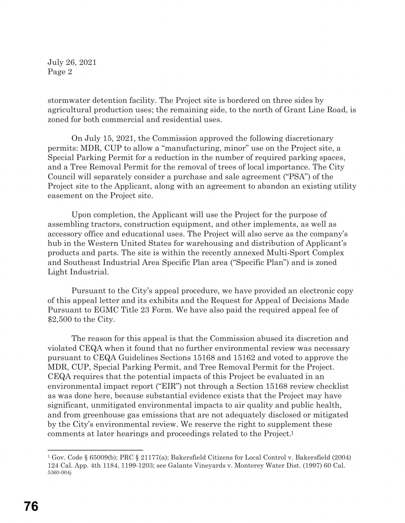stormwater detention facility. The Project site is bordered on three sides by agricultural production uses; the remaining side, to the north of Grant Line Road, is zoned for both commercial and residential uses.

On July 15, 2021, the Commission approved the following discretionary permits: MDR, CUP to allow a "manufacturing, minor" use on the Project site, a Special Parking Permit for a reduction in the number of required parking spaces, and a Tree Removal Permit for the removal of trees of local importance. The City Council will separately consider a purchase and sale agreement ("PSA") of the Project site to the Applicant, along with an agreement to abandon an existing utility easement on the Project site.

Upon completion, the Applicant will use the Project for the purpose of assembling tractors, construction equipment, and other implements, as well as accessory office and educational uses. The Project will also serve as the company's hub in the Western United States for warehousing and distribution of Applicant's products and parts. The site is within the recently annexed Multi-Sport Complex and Southeast Industrial Area Specific Plan area ("Specific Plan") and is zoned Light Industrial.

Pursuant to the City's appeal procedure, we have provided an electronic copy of this appeal letter and its exhibits and the Request for Appeal of Decisions Made Pursuant to EGMC Title 23 Form. We have also paid the required appeal fee of \$2,500 to the City.

The reason for this appeal is that the Commission abused its discretion and violated CEQA when it found that no further environmental review was necessary pursuant to CEQA Guidelines Sections 15168 and 15162 and voted to approve the MDR, CUP, Special Parking Permit, and Tree Removal Permit for the Project. CEQA requires that the potential impacts of this Project be evaluated in an environmental impact report ("EIR") not through a Section 15168 review checklist as was done here, because substantial evidence exists that the Project may have significant, unmitigated environmental impacts to air quality and public health, and from greenhouse gas emissions that are not adequately disclosed or mitigated by the City's environmental review. We reserve the right to supplement these comments at later hearings and proceedings related to the Project. 1

<sup>5360-004</sup>j 1 Gov. Code § 65009(b); PRC § 21177(a); Bakersfield Citizens for Local Control v. Bakersfield (2004) 124 Cal. App. 4th 1184, 1199-1203; see Galante Vineyards v. Monterey Water Dist. (1997) 60 Cal.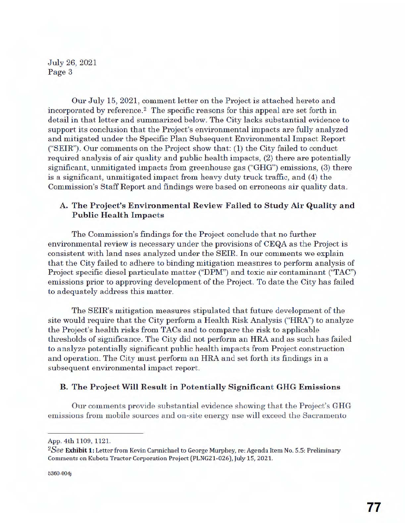Our July 15, 2021, comment letter on the Project is attached hereto and incorporated by reference.<sup>2</sup> The specific reasons for this appeal are set forth in detail in that letter and summarized below. The City lacks substantial evidence to support its conclusion that the Project's environmental impacts are fully analyzed and mitigated under the Specific Plan Subsequent Environmental Impact Report ("SEIR"). Our comments on the Project show that: (1) the City failed to conduct required analysis of air quality and public health impacts, (2) there are potentially significant, unmitigated impacts from greenhouse gas ("GHG") emissions, (3) there is a significant, unmitigated impact from heavy duty truck traffic, and (4) the Commission's Staff Report and findings were based on erroneons air quality data.

## **A. The Project's Environmental Review Failed to Study Air Quality and Public Health Impacts**

The Commission's findings for the Project conclude that no further environmental review is necessary under the provisions of CEQA as the Project is consistent with land nses analyzed under the SEIR. In our comments we explain that the City failed to adhere to binding mitigation measures to perform analysis of Project specific diesel particulate matter ("DPM") and toxic air contaminant ("TAC") emissions prior to approving development of the Project. To date the City has failed to adequately address this matter.

The SEIR's mitigation measures stipulated that future development of the site would require that the City perform a Health Risk Analysis ("HRA'') to analyze the Project's health risks from TACs and to compare the risk to applicable thresholds of significance. The City did not perform an HRA and as such has failed to analyze potentially significant public health impacts from Project construction and operation. The City must perform an HRA and set forth its findings in a subsequent environmental impact report.

#### **B. The Project Will Result in Potentially Significant GHG Emissions**

Our comments provide substantial evidence showing that the Project's GHG emissions from mobile sources and on-site energy nse will exceed the Sacramento

5360-004;

App. 4th 1109, 1121.

*<sup>2</sup>See* **Exhibit 1:** Letter from Kevin Carmichael to George Murphey, re: Agenda Item No. 5.5: Preliminary Comments on Kubota Tractor Corporation Project (PLNG21-026), July 15, 2021.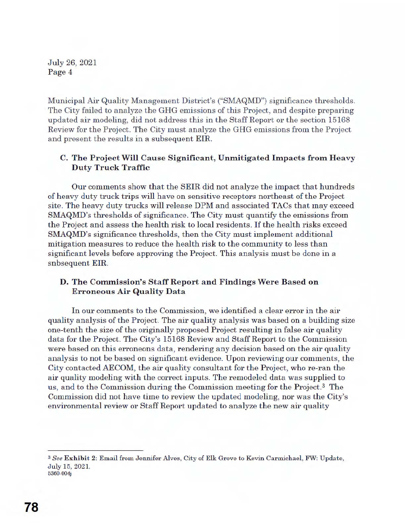Municipal Air Quality Management District's ("SMAQMD") significance thresholds. The City failed to analyze the GHG emissions of this Project, and despite preparing updated air modeling, did not address this in the Staff Report or the section 15168 Review for the Project. The City must analyze the GHG emissions from the Project and present the results in a subsequent EIR.

# **C. The Project Will Cause Significant, Unmitigated Impacts from Heavy Duty Truck Traffic**

Our comments show that the SEIR did not analyze the impact that hundreds of heavy duty truck trips will have on sensitive receptors northeast of the Project site. The heavy duty trucks will release DPM and associated TACs that may exceed SMAQMD's thresholds of significance. The City must quantify the emissions from the Project and assess the health risk to local residents. If the health risks exceed SMAQMD's significance thresholds, then the City must implement additional mitigation measures to reduce the health risk to the community to less than significant levels before approving the Project. This analysis must be done in a snbsequent EIR.

# **D. The Commission's Staff Report and Findings Were Based on Erroneous Air Quality Data**

In our comments to the Commission, we identified a clear error in the air quality analysis of the Project. The air quality analysis was based on a building size one-tenth the size of the originally proposed Project resulting in false air quality data for the Project. The City's 15168 Review and Staff Report to the Commission were based on this erroneons data, rendering any decision based on the air quality analysis to not be based on significant evidence. Upon reviewing our comments, the City contacted AECOM, the air quality consultant for the Project, who re-ran the air quality modeling with the correct inputs. The remodeled data was supplied to us, and to the Commission during the Commission meeting for the Project. 3 The Commission did not have time to review the updated modeling, nor was the City's environmental review or Staff Report updated to analyze the new air quality

<sup>3</sup>*See* **Exhibit 2:** Email from Jennifer Alves, City of Elk Grove to Kevin Carmichael, FW: Update, July 15, 2021. 5360-004;